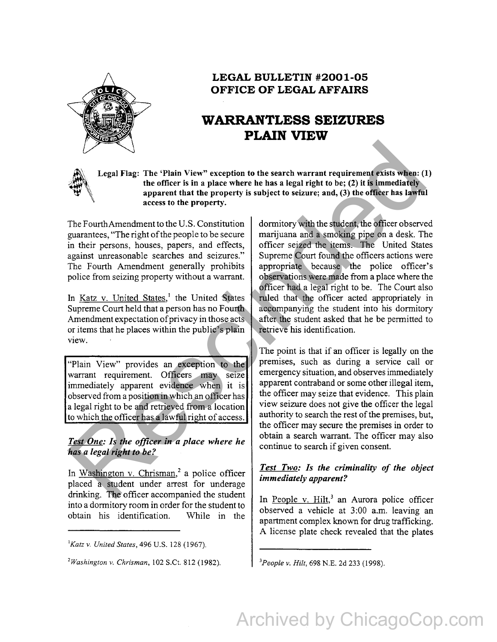

# **LEGAL BULLETIN #2001-05 OFFICE OF LEGAL AFFAIRS**

# **WARRANTLESS SEIZURES PLAIN VIEW**

Legal Flag: The 'Plain View" exception to the search warrant requirement exists when: (1) the officer is in a place where he has a legal right to be; (2) it is immediately apparent that the property is subject to seizure; and, (3) the officer has lawful access to the property.

The Fourth Amendment to the U.S. Constitution guarantees, "The right of the people to be secure in their persons, houses, papers, and effects, against unreasonable searches and seizures." The Fourth Amendment generally prohibits police from seizing property without a warrant.

In Katz v. United States,<sup>1</sup> the United States Supreme Court held that a person has no Fourth Amendment expectation of privacy in those acts or items that he places within the public's plain view.

"Plain View" provides an exception to the warrant requirement. Officers may seize immediately apparent evidence when it is observed from a position in which an officer has a legal right to be and retrieved from a location to which the officer has a lawful right of access.

### *Test One: Is the officer in a place where he has a legal right to be?*

In Washington v. Chrisman,<sup>2</sup> a police officer placed a student under arrest for underage drinking. The officer accompanied the student into a dormitory room in order for the student to obtain his identification. While in the

dormitory with the student, the officer observed marijuana and a smoking pipe on a desk. The officer seized the items. The United States Supreme Court found the officers actions were appropriate because the police officer's observations were made from a place where the officer had a legal right to be. The Court also ruled that the officer acted appropriately in accompanying the student into his dormitory after the student asked that he be permitted to retrieve his identification. Legal Flag: The 'Plain View" exception to the search warrant requirement exists when:<br>
the officer is no also when the property is subject to seizure; and, (3) the infinediately<br>
apparent that the property.<br>
The Fourth Am

The point is that if an officer is legally on the premises, such as during a service call or emergency situation, and observes immediately apparent contraband or some other illegal item, the officer may seize that evidence. This plain view seizure does not give the officer the legal authority to search the rest of the premises, but, the officer may secure the premises in order to obtain a search warrant. The officer may also continue to search if given consent.

## *Test Two: Is the criminality of the object immediately apparent?*

In People v.  $Hilt$ ,<sup>3</sup> an Aurora police officer observed a vehicle at 3:00 a.m. leaving an apartment complex known for drug trafficking. A license plate check revealed that the plates

*3 People v. Hilt,* 698 N.E. 2d 233 (1998).

*<sup>&#</sup>x27;Katz v. United States,* 496 U.S. 128 (1967).

*<sup>2</sup> Washington v. Chrisman,* 102 S.Ct. 812 (1982).